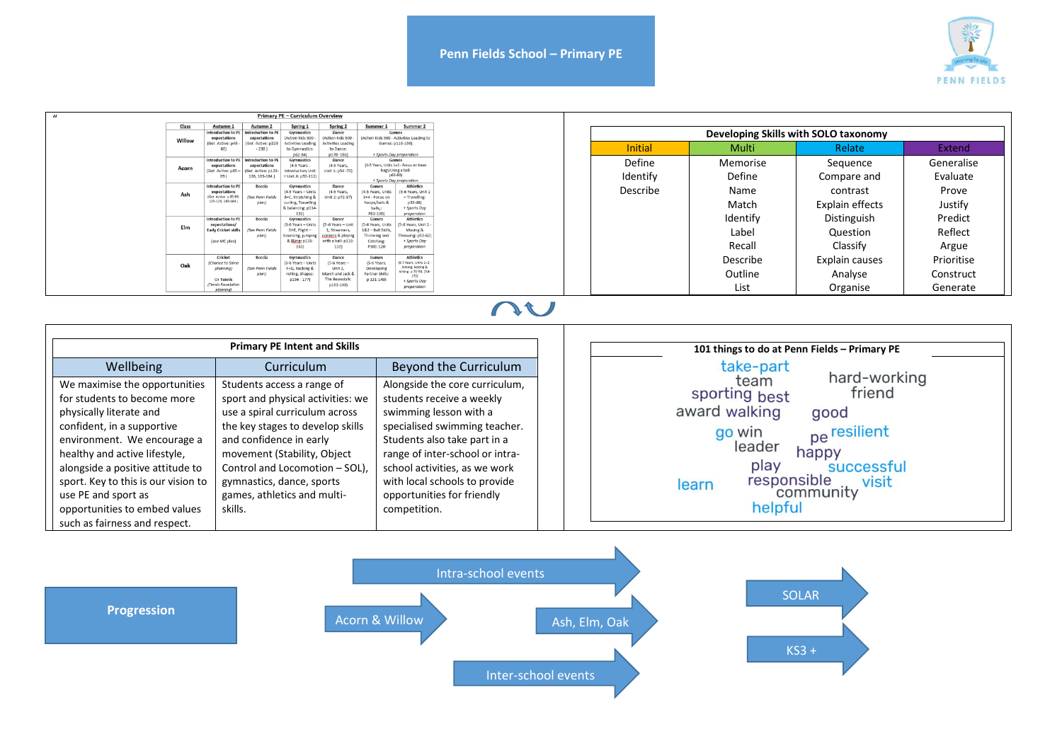

| Primary PE - Curriculum Overview |                                                                                                                                                                                                                                                                                                                            |                                    |                                         |                                    |                                     |                                                |  |  |  |
|----------------------------------|----------------------------------------------------------------------------------------------------------------------------------------------------------------------------------------------------------------------------------------------------------------------------------------------------------------------------|------------------------------------|-----------------------------------------|------------------------------------|-------------------------------------|------------------------------------------------|--|--|--|
| Class                            | Autumn                                                                                                                                                                                                                                                                                                                     | Autumn 2<br>Introduction to PF     | Spring 1                                | Spring 2                           | Summer 1                            | Summer 2                                       |  |  |  |
|                                  | Gymnastics<br>Introduction to PE<br>Dance<br>Games<br>(Action Kids 500 -<br>(Action Kids 500 - Activities Leading to<br>expectations<br>(Action Kids 500<br>expectations<br>Willow<br>(Get Active: p22)<br><b>Activities Leadin</b><br>Games: p116-166)<br>(Get Active: p46)<br><b>Activities Leading</b><br>$-238$<br>60) |                                    |                                         |                                    |                                     |                                                |  |  |  |
|                                  |                                                                                                                                                                                                                                                                                                                            |                                    | to Gymnastics:                          | to Dance:                          |                                     |                                                |  |  |  |
|                                  |                                                                                                                                                                                                                                                                                                                            |                                    | p62-84)                                 | $p170 - 186$                       | + Sports Day preparation            |                                                |  |  |  |
|                                  | Introduction to PE<br>expectations                                                                                                                                                                                                                                                                                         | Introduction to PE<br>expectations | <b>Gymnastics</b><br>(4-5 Years -       | Dance<br>(4-5 Years)               |                                     | Games<br>(4-5 Years, Units 1+2 - Focus on bean |  |  |  |
| Acorn                            | (Get Active: p85)                                                                                                                                                                                                                                                                                                          | (Get Active: p12                   | ntroductory Uni                         | Unit 1: p54 -70)                   |                                     | bags/Using a ball:                             |  |  |  |
|                                  | 89)                                                                                                                                                                                                                                                                                                                        | 126, 183-184)                      | + Unit A: p92-112)                      |                                    |                                     | $p62 - 80$<br>+ Sports Day preparation         |  |  |  |
|                                  | Introduction to PE                                                                                                                                                                                                                                                                                                         | Boccia                             | Gymnastics                              | Dance                              | Games                               | <b>Athletics</b>                               |  |  |  |
| Ash                              | expectations<br>(Get Active: p 85-8)                                                                                                                                                                                                                                                                                       | (See Penn Fields                   | (4-5 Years - Units<br>B+C, Stretching & | (4-5 Years,<br>Unit 2: p72-87)     | (4-5 Years, Units<br>3+4 - Focus on | 5-6 Years, Unit<br>- Travelling:               |  |  |  |
|                                  | 123-126, 183-184                                                                                                                                                                                                                                                                                                           | plan)                              | curling, Travelling                     |                                    | hoops/bats &                        | $p33-48$                                       |  |  |  |
|                                  |                                                                                                                                                                                                                                                                                                                            |                                    | & balancing: p114-                      |                                    | balls,                              | + Sports Day                                   |  |  |  |
|                                  | Introduction to PE                                                                                                                                                                                                                                                                                                         | Boccia                             | Gymnastics                              | Dance                              | P82-100)<br>Games                   | preparation<br><b>Athletics</b>                |  |  |  |
|                                  | expectations/                                                                                                                                                                                                                                                                                                              |                                    | (S-6 Years - Units                      | (5-6 Years - Unit                  | (5-6 Years, Units                   | -6 Years, Unit 2                               |  |  |  |
| Elm                              | <b>Early Cricket skills</b>                                                                                                                                                                                                                                                                                                | (See Penn Fields<br>plan           | D+E, Flight-                            | 1, Streamers,<br>conkers & playing | 182 - Ball Skills<br>Throwing and   | Moving &<br>trowing: p53-62)                   |  |  |  |
|                                  | (see MC plan)                                                                                                                                                                                                                                                                                                              |                                    | ouncing, jumping<br>&   & ing: p135-    | with a ball: p118                  | Catching:                           | + Sports Day                                   |  |  |  |
|                                  |                                                                                                                                                                                                                                                                                                                            |                                    | 153)                                    | 132)                               | P101-120                            | preparation                                    |  |  |  |
|                                  | Cricket                                                                                                                                                                                                                                                                                                                    | Boccia                             | Gymnastics                              | Dance                              | Games                               | <b>Athletics</b><br>-7 Years, Units 1+2        |  |  |  |
| Oak                              | (Chance to Shine<br>planning)                                                                                                                                                                                                                                                                                              | (See Penn Fields                   | (5-6 Years - Unit)<br>F+G, Rocking &    | (5-6 Years -<br>Unit 2,            | (5-6 Years,<br>Developin            | Aiming, kicking &                              |  |  |  |
|                                  |                                                                                                                                                                                                                                                                                                                            | plan)                              | rolling, Shapes:                        | March and Jack &                   | Partner Skills:                     | hitting: p 70-98, 154-<br>172)                 |  |  |  |
|                                  | Or Tennis<br>(Tennis Foundation                                                                                                                                                                                                                                                                                            |                                    | $p156 - 177$                            | The Beanstalk<br>p132-143)         | p 131-140)                          | + Sports Day                                   |  |  |  |
|                                  |                                                                                                                                                                                                                                                                                                                            |                                    |                                         |                                    |                                     | preparation                                    |  |  |  |

## nu

|                                                                                                                                                                                                                                                                               | <b>Primary PE Intent and Skills</b>                                                                                                                                                                                                                                          | 101 things to do at Penn Fields - Primary PE                                                                                                                                                                                                                                         |                                                                                                                                                                                        |
|-------------------------------------------------------------------------------------------------------------------------------------------------------------------------------------------------------------------------------------------------------------------------------|------------------------------------------------------------------------------------------------------------------------------------------------------------------------------------------------------------------------------------------------------------------------------|--------------------------------------------------------------------------------------------------------------------------------------------------------------------------------------------------------------------------------------------------------------------------------------|----------------------------------------------------------------------------------------------------------------------------------------------------------------------------------------|
| Wellbeing<br>We maximise the opportunities<br>for students to become more<br>physically literate and<br>confident, in a supportive<br>environment. We encourage a<br>healthy and active lifestyle,<br>alongside a positive attitude to<br>sport. Key to this is our vision to | Curriculum<br>Students access a range of<br>sport and physical activities: we<br>use a spiral curriculum across<br>the key stages to develop skills<br>and confidence in early<br>movement (Stability, Object<br>Control and Locomotion - SOL),<br>gymnastics, dance, sports | Beyond the Curriculum<br>Alongside the core curriculum,<br>students receive a weekly<br>swimming lesson with a<br>specialised swimming teacher.<br>Students also take part in a<br>range of inter-school or intra-<br>school activities, as we work<br>with local schools to provide | take-part<br>hard-working<br>team<br>friend<br>sporting best<br>award walking<br>good<br>pe resilient<br>go win<br>leader<br>happy<br>play<br>successful<br>responsible visit<br>learn |
| use PE and sport as<br>opportunities to embed values<br>such as fairness and respect.                                                                                                                                                                                         | games, athletics and multi-<br>skills.                                                                                                                                                                                                                                       | opportunities for friendly<br>competition.                                                                                                                                                                                                                                           | helpful                                                                                                                                                                                |